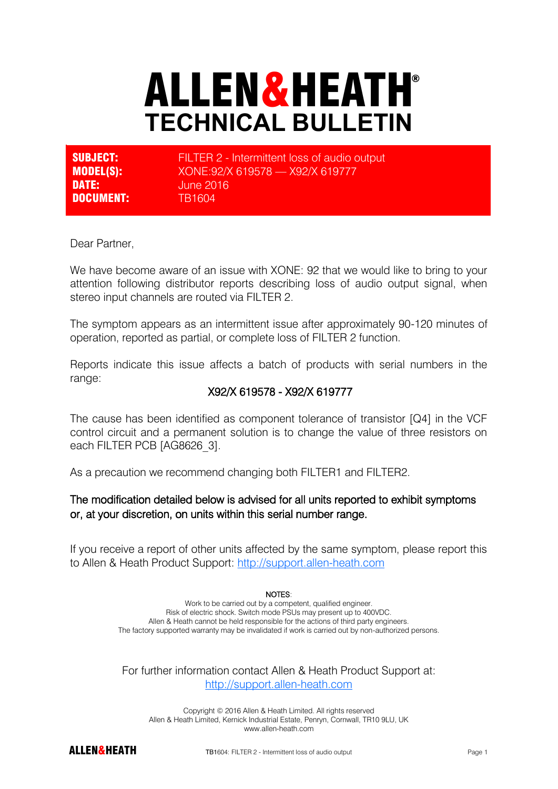# ALLEN&HEATH® **TECHNICAL BULLETIN**

| <b>SUBJECT:</b>  | FILTER 2 - Intermittent loss of audio output |
|------------------|----------------------------------------------|
| <b>MODEL(S):</b> | XONE:92/X 619578 - X92/X 619777              |
| DATE:            | <b>June 2016</b>                             |
| <b>DOCUMENT:</b> | TR1604                                       |

Dear Partner,

We have become aware of an issue with XONE: 92 that we would like to bring to your attention following distributor reports describing loss of audio output signal, when stereo input channels are routed via FILTER 2.

The symptom appears as an intermittent issue after approximately 90-120 minutes of operation, reported as partial, or complete loss of FILTER 2 function.

Reports indicate this issue affects a batch of products with serial numbers in the range:

# X92/X 619578 - X92/X 619777

The cause has been identified as component tolerance of transistor [Q4] in the VCF control circuit and a permanent solution is to change the value of three resistors on each FILTER PCB [AG8626\_3].

As a precaution we recommend changing both FILTER1 and FILTER2.

## The modification detailed below is advised for all units reported to exhibit symptoms or, at your discretion, on units within this serial number range.

If you receive a report of other units affected by the same symptom, please report this to Allen & Heath Product Support:<http://support.allen-heath.com>

#### NOTES:

Work to be carried out by a competent, qualified engineer. Risk of electric shock. Switch mode PSUs may present up to 400VDC. Allen & Heath cannot be held responsible for the actions of third party engineers. The factory supported warranty may be invalidated if work is carried out by non-authorized persons.

For further information contact Allen & Heath Product Support at: <http://support.allen-heath.com>

Copyright © 2016 Allen & Heath Limited. All rights reserved Allen & Heath Limited, Kernick Industrial Estate, Penryn, Cornwall, TR10 9LU, UK www.allen-heath.com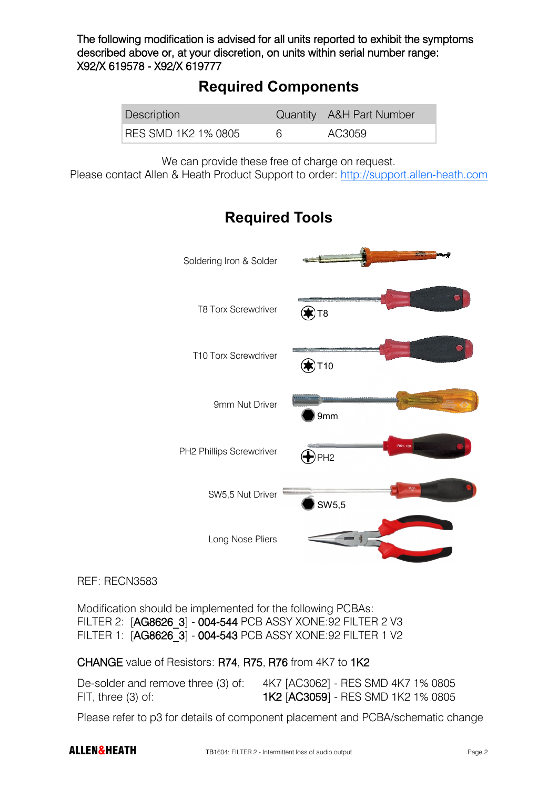The following modification is advised for all units reported to exhibit the symptoms described above or, at your discretion, on units within serial number range: X92/X 619578 - X92/X 619777

# **Required Components**

| Description         | Quantity A&H Part Number |
|---------------------|--------------------------|
| RES SMD 1K2 1% 0805 | AC3059                   |

We can provide these free of charge on request.

Please contact Allen & Heath Product Support to order: <http://support.allen-heath.com>



# **Required Tools**

## REF: RECN3583

Modification should be implemented for the following PCBAs: FILTER 2: [AG8626\_3] - 004-544 PCB ASSY XONE:92 FILTER 2 V3 FILTER 1: [AG8626\_3] - 004-543 PCB ASSY XONE:92 FILTER 1 V2

CHANGE value of Resistors: R74, R75, R76 from 4K7 to 1K2

| De-solder and remove three (3) of: | 4K7 [AC3062] - RES SMD 4K7 1% 0805        |
|------------------------------------|-------------------------------------------|
| $FIT$ , three $(3)$ of:            | <b>1K2 [AC3059] - RES SMD 1K2 1% 0805</b> |

Please refer to p3 for details of component placement and PCBA/schematic change